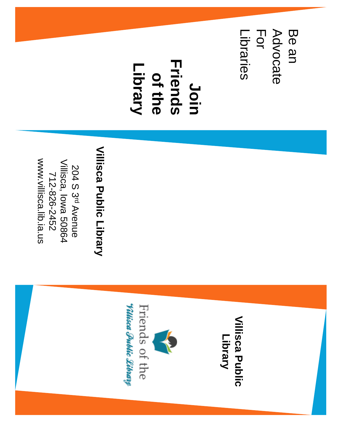Be an For Advocate Libraries Advocate Libraries

**Friends Friends Library of the Join** 

## Villisca Public Library **Villisca Public Library**

www.villisca.lib.ia.us www.villisca.lib.ia.us Villisca, lowa 50864 Villisca, Iowa 50864 204 S 3712-826-2452 712-826-2452  $\bar{\mathtt{o}}$ Avenue

## **Villisca Public Villisca Public Library**

*<u> Villisca Public Library</u>* Friends of the